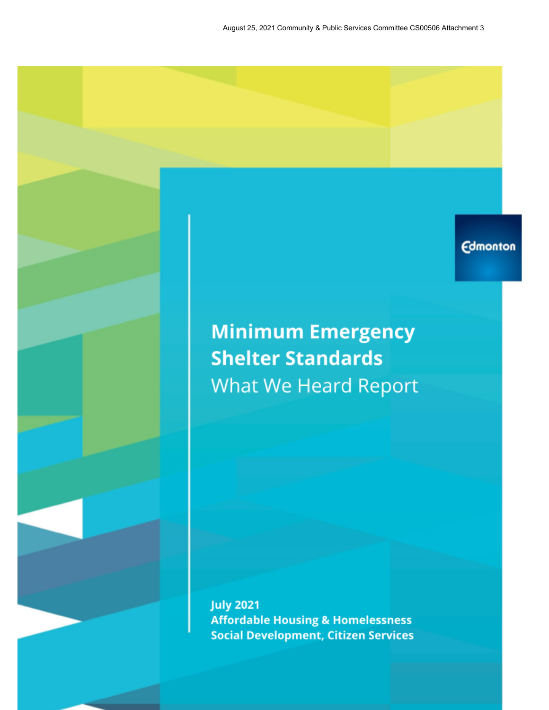# **Edmonton**

# **Minimum Emergency Shelter Standards** What We Heard Report

**July 2021 Affordable Housing & Homelessness Social Development, Citizen Services**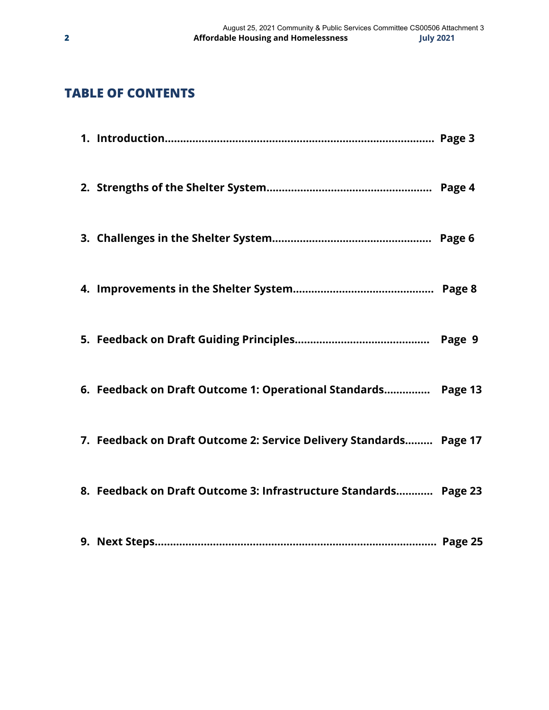# **TABLE OF CONTENTS**

| 6. Feedback on Draft Outcome 1: Operational Standards Page 13      |  |
|--------------------------------------------------------------------|--|
| 7. Feedback on Draft Outcome 2: Service Delivery Standards Page 17 |  |
| 8. Feedback on Draft Outcome 3: Infrastructure Standards Page 23   |  |
|                                                                    |  |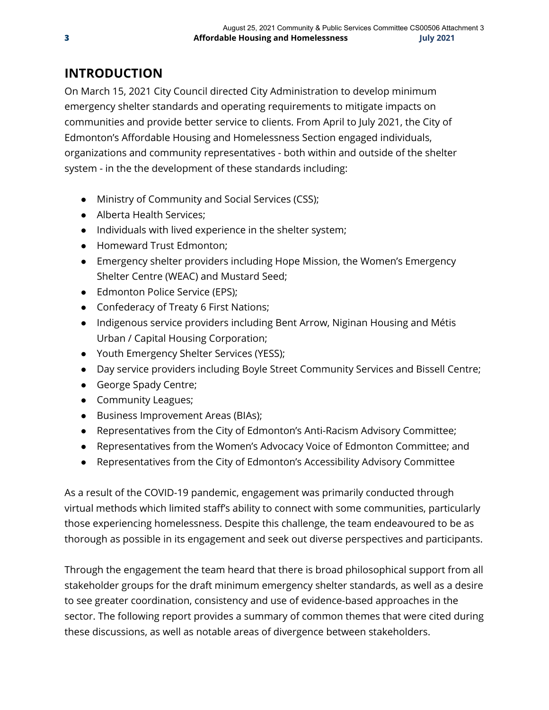# **INTRODUCTION**

On March 15, 2021 City Council directed City Administration to develop minimum emergency shelter standards and operating requirements to mitigate impacts on communities and provide better service to clients. From April to July 2021, the City of Edmonton's Affordable Housing and Homelessness Section engaged individuals, organizations and community representatives - both within and outside of the shelter system - in the the development of these standards including:

- Ministry of Community and Social Services (CSS);
- Alberta Health Services;
- Individuals with lived experience in the shelter system;
- Homeward Trust Edmonton;
- Emergency shelter providers including Hope Mission, the Women's Emergency Shelter Centre (WEAC) and Mustard Seed;
- Edmonton Police Service (EPS);
- Confederacy of Treaty 6 First Nations;
- Indigenous service providers including Bent Arrow, Niginan Housing and Métis Urban / Capital Housing Corporation;
- Youth Emergency Shelter Services (YESS);
- Day service providers including Boyle Street Community Services and Bissell Centre;
- George Spady Centre;
- Community Leagues;
- Business Improvement Areas (BIAs);
- Representatives from the City of Edmonton's Anti-Racism Advisory Committee;
- Representatives from the Women's Advocacy Voice of Edmonton Committee; and
- Representatives from the City of Edmonton's Accessibility Advisory Committee

As a result of the COVID-19 pandemic, engagement was primarily conducted through virtual methods which limited staff's ability to connect with some communities, particularly those experiencing homelessness. Despite this challenge, the team endeavoured to be as thorough as possible in its engagement and seek out diverse perspectives and participants.

Through the engagement the team heard that there is broad philosophical support from all stakeholder groups for the draft minimum emergency shelter standards, as well as a desire to see greater coordination, consistency and use of evidence-based approaches in the sector. The following report provides a summary of common themes that were cited during these discussions, as well as notable areas of divergence between stakeholders.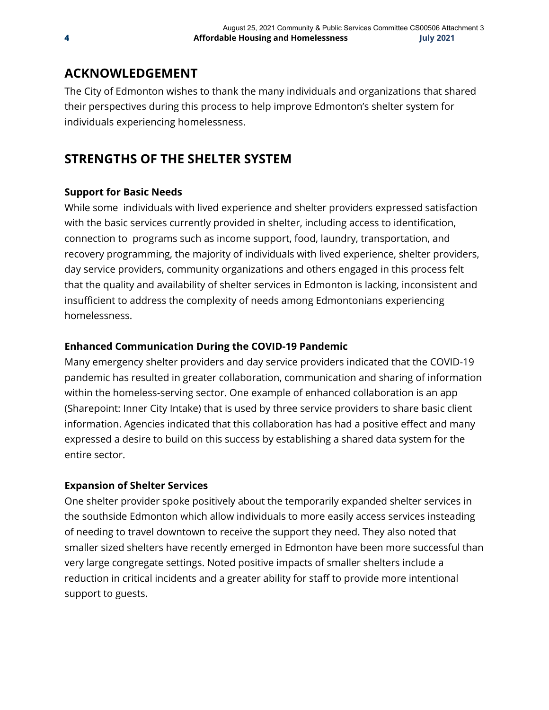# **ACKNOWLEDGEMENT**

The City of Edmonton wishes to thank the many individuals and organizations that shared their perspectives during this process to help improve Edmonton's shelter system for individuals experiencing homelessness.

# **STRENGTHS OF THE SHELTER SYSTEM**

### **Support for Basic Needs**

While some individuals with lived experience and shelter providers expressed satisfaction with the basic services currently provided in shelter, including access to identification, connection to programs such as income support, food, laundry, transportation, and recovery programming, the majority of individuals with lived experience, shelter providers, day service providers, community organizations and others engaged in this process felt that the quality and availability of shelter services in Edmonton is lacking, inconsistent and insufficient to address the complexity of needs among Edmontonians experiencing homelessness.

### **Enhanced Communication During the COVID-19 Pandemic**

Many emergency shelter providers and day service providers indicated that the COVID-19 pandemic has resulted in greater collaboration, communication and sharing of information within the homeless-serving sector. One example of enhanced collaboration is an app (Sharepoint: Inner City Intake) that is used by three service providers to share basic client information. Agencies indicated that this collaboration has had a positive effect and many expressed a desire to build on this success by establishing a shared data system for the entire sector.

### **Expansion of Shelter Services**

One shelter provider spoke positively about the temporarily expanded shelter services in the southside Edmonton which allow individuals to more easily access services insteading of needing to travel downtown to receive the support they need. They also noted that smaller sized shelters have recently emerged in Edmonton have been more successful than very large congregate settings. Noted positive impacts of smaller shelters include a reduction in critical incidents and a greater ability for staff to provide more intentional support to guests.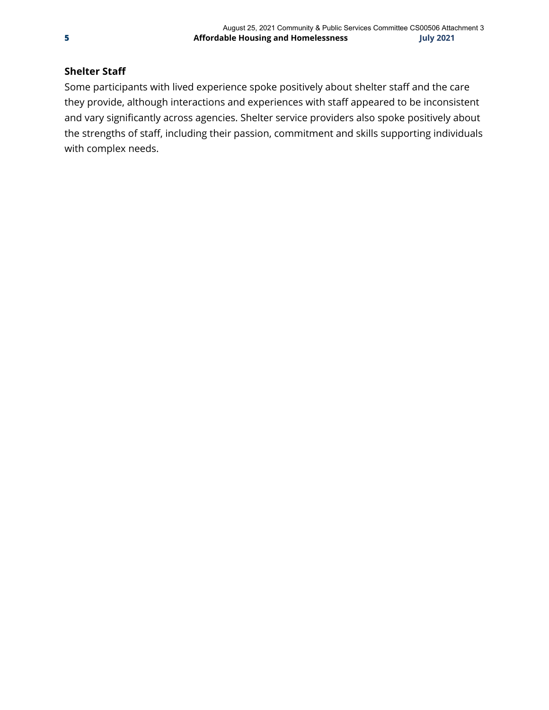### **Shelter Staff**

Some participants with lived experience spoke positively about shelter staff and the care they provide, although interactions and experiences with staff appeared to be inconsistent and vary significantly across agencies. Shelter service providers also spoke positively about the strengths of staff, including their passion, commitment and skills supporting individuals with complex needs.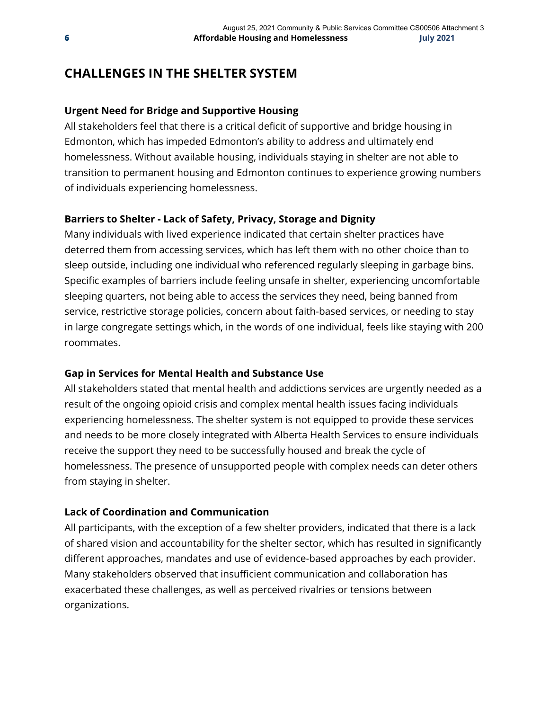### **CHALLENGES IN THE SHELTER SYSTEM**

#### **Urgent Need for Bridge and Supportive Housing**

All stakeholders feel that there is a critical deficit of supportive and bridge housing in Edmonton, which has impeded Edmonton's ability to address and ultimately end homelessness. Without available housing, individuals staying in shelter are not able to transition to permanent housing and Edmonton continues to experience growing numbers of individuals experiencing homelessness.

#### **Barriers to Shelter - Lack of Safety, Privacy, Storage and Dignity**

Many individuals with lived experience indicated that certain shelter practices have deterred them from accessing services, which has left them with no other choice than to sleep outside, including one individual who referenced regularly sleeping in garbage bins. Specific examples of barriers include feeling unsafe in shelter, experiencing uncomfortable sleeping quarters, not being able to access the services they need, being banned from service, restrictive storage policies, concern about faith-based services, or needing to stay in large congregate settings which, in the words of one individual, feels like staying with 200 roommates.

#### **Gap in Services for Mental Health and Substance Use**

All stakeholders stated that mental health and addictions services are urgently needed as a result of the ongoing opioid crisis and complex mental health issues facing individuals experiencing homelessness. The shelter system is not equipped to provide these services and needs to be more closely integrated with Alberta Health Services to ensure individuals receive the support they need to be successfully housed and break the cycle of homelessness. The presence of unsupported people with complex needs can deter others from staying in shelter.

#### **Lack of Coordination and Communication**

All participants, with the exception of a few shelter providers, indicated that there is a lack of shared vision and accountability for the shelter sector, which has resulted in significantly different approaches, mandates and use of evidence-based approaches by each provider. Many stakeholders observed that insufficient communication and collaboration has exacerbated these challenges, as well as perceived rivalries or tensions between organizations.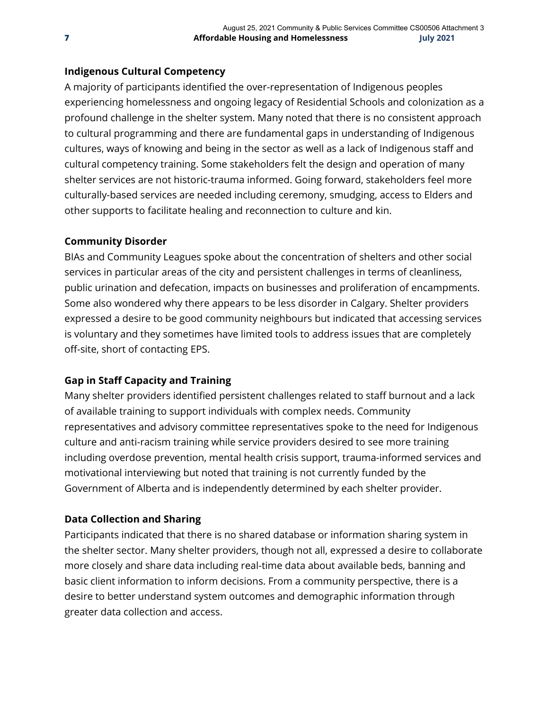#### **Indigenous Cultural Competency**

A majority of participants identified the over-representation of Indigenous peoples experiencing homelessness and ongoing legacy of Residential Schools and colonization as a profound challenge in the shelter system. Many noted that there is no consistent approach to cultural programming and there are fundamental gaps in understanding of Indigenous cultures, ways of knowing and being in the sector as well as a lack of Indigenous staff and cultural competency training. Some stakeholders felt the design and operation of many shelter services are not historic-trauma informed. Going forward, stakeholders feel more culturally-based services are needed including ceremony, smudging, access to Elders and other supports to facilitate healing and reconnection to culture and kin.

#### **Community Disorder**

BIAs and Community Leagues spoke about the concentration of shelters and other social services in particular areas of the city and persistent challenges in terms of cleanliness, public urination and defecation, impacts on businesses and proliferation of encampments. Some also wondered why there appears to be less disorder in Calgary. Shelter providers expressed a desire to be good community neighbours but indicated that accessing services is voluntary and they sometimes have limited tools to address issues that are completely off-site, short of contacting EPS.

### **Gap in Staff Capacity and Training**

Many shelter providers identified persistent challenges related to staff burnout and a lack of available training to support individuals with complex needs. Community representatives and advisory committee representatives spoke to the need for Indigenous culture and anti-racism training while service providers desired to see more training including overdose prevention, mental health crisis support, trauma-informed services and motivational interviewing but noted that training is not currently funded by the Government of Alberta and is independently determined by each shelter provider.

#### **Data Collection and Sharing**

Participants indicated that there is no shared database or information sharing system in the shelter sector. Many shelter providers, though not all, expressed a desire to collaborate more closely and share data including real-time data about available beds, banning and basic client information to inform decisions. From a community perspective, there is a desire to better understand system outcomes and demographic information through greater data collection and access.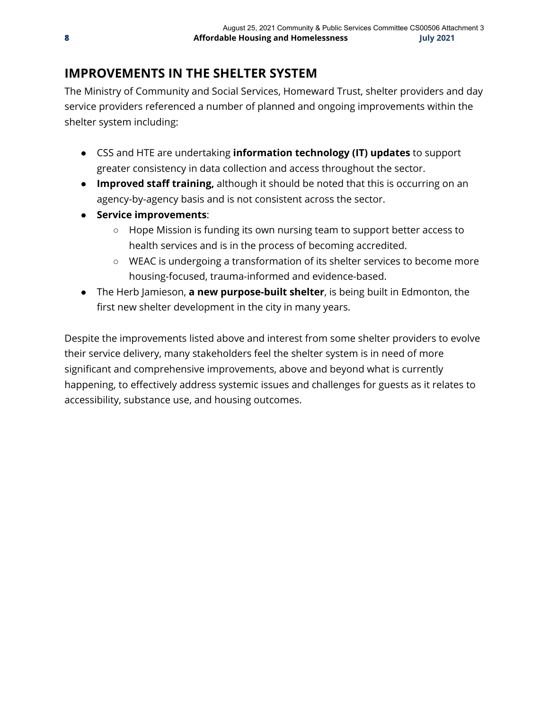# **IMPROVEMENTS IN THE SHELTER SYSTEM**

The Ministry of Community and Social Services, Homeward Trust, shelter providers and day service providers referenced a number of planned and ongoing improvements within the shelter system including:

- **●** CSS and HTE are undertaking **information technology (IT) updates** to support greater consistency in data collection and access throughout the sector.
- **● Improved staff training,** although it should be noted that this is occurring on an agency-by-agency basis and is not consistent across the sector.
- **Service improvements**:
	- Hope Mission is funding its own nursing team to support better access to health services and is in the process of becoming accredited.
	- WEAC is undergoing a transformation of its shelter services to become more housing-focused, trauma-informed and evidence-based.
- **●** The Herb Jamieson, **a new purpose-built shelter**, is being built in Edmonton, the first new shelter development in the city in many years.

Despite the improvements listed above and interest from some shelter providers to evolve their service delivery, many stakeholders feel the shelter system is in need of more significant and comprehensive improvements, above and beyond what is currently happening, to effectively address systemic issues and challenges for guests as it relates to accessibility, substance use, and housing outcomes.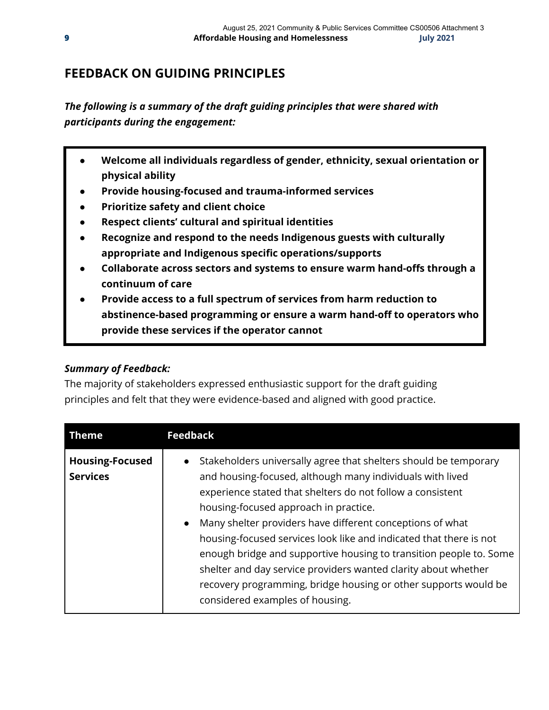### **FEEDBACK ON GUIDING PRINCIPLES**

*The following is a summary of the draft guiding principles that were shared with participants during the engagement:*

- **Welcome all individuals regardless of gender, ethnicity, sexual orientation or physical ability**
- **Provide housing-focused and trauma-informed services**
- **Prioritize safety and client choice**
- **Respect clients' cultural and spiritual identities**
- **● Recognize and respond to the needs Indigenous guests with culturally appropriate and Indigenous specific operations/supports**
- **● Collaborate across sectors and systems to ensure warm hand-offs through a continuum of care**
- **Provide access to a full spectrum of services from harm reduction to abstinence-based programming or ensure a warm hand-off to operators who provide these services if the operator cannot**

### *Summary of Feedback:*

The majority of stakeholders expressed enthusiastic support for the draft guiding principles and felt that they were evidence-based and aligned with good practice.

| <b>Theme</b>                              | <b>Feedback</b>                                                                                                                                                                                                                                                                                                                                                                                                                                                                                                                                                                                                                    |
|-------------------------------------------|------------------------------------------------------------------------------------------------------------------------------------------------------------------------------------------------------------------------------------------------------------------------------------------------------------------------------------------------------------------------------------------------------------------------------------------------------------------------------------------------------------------------------------------------------------------------------------------------------------------------------------|
| <b>Housing-Focused</b><br><b>Services</b> | Stakeholders universally agree that shelters should be temporary<br>and housing-focused, although many individuals with lived<br>experience stated that shelters do not follow a consistent<br>housing-focused approach in practice.<br>Many shelter providers have different conceptions of what<br>$\bullet$<br>housing-focused services look like and indicated that there is not<br>enough bridge and supportive housing to transition people to. Some<br>shelter and day service providers wanted clarity about whether<br>recovery programming, bridge housing or other supports would be<br>considered examples of housing. |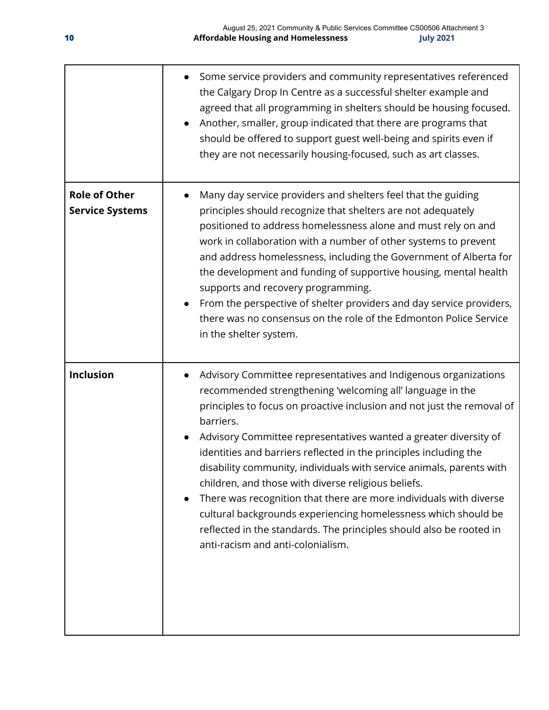|                                                | Some service providers and community representatives referenced<br>the Calgary Drop In Centre as a successful shelter example and<br>agreed that all programming in shelters should be housing focused.<br>Another, smaller, group indicated that there are programs that<br>$\bullet$<br>should be offered to support guest well-being and spirits even if<br>they are not necessarily housing-focused, such as art classes.                                                                                                                                                                                                                                                                                                                   |
|------------------------------------------------|-------------------------------------------------------------------------------------------------------------------------------------------------------------------------------------------------------------------------------------------------------------------------------------------------------------------------------------------------------------------------------------------------------------------------------------------------------------------------------------------------------------------------------------------------------------------------------------------------------------------------------------------------------------------------------------------------------------------------------------------------|
| <b>Role of Other</b><br><b>Service Systems</b> | Many day service providers and shelters feel that the guiding<br>principles should recognize that shelters are not adequately<br>positioned to address homelessness alone and must rely on and<br>work in collaboration with a number of other systems to prevent<br>and address homelessness, including the Government of Alberta for<br>the development and funding of supportive housing, mental health<br>supports and recovery programming.<br>From the perspective of shelter providers and day service providers,<br>there was no consensus on the role of the Edmonton Police Service<br>in the shelter system.                                                                                                                         |
| <b>Inclusion</b>                               | Advisory Committee representatives and Indigenous organizations<br>recommended strengthening 'welcoming all' language in the<br>principles to focus on proactive inclusion and not just the removal of<br>barriers.<br>Advisory Committee representatives wanted a greater diversity of<br>identities and barriers reflected in the principles including the<br>disability community, individuals with service animals, parents with<br>children, and those with diverse religious beliefs.<br>There was recognition that there are more individuals with diverse<br>cultural backgrounds experiencing homelessness which should be<br>reflected in the standards. The principles should also be rooted in<br>anti-racism and anti-colonialism. |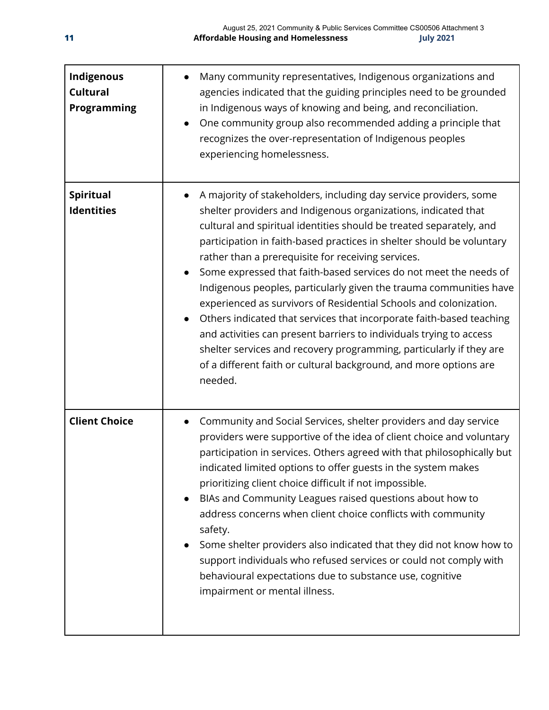| Indigenous<br><b>Cultural</b><br>Programming | Many community representatives, Indigenous organizations and<br>agencies indicated that the guiding principles need to be grounded<br>in Indigenous ways of knowing and being, and reconciliation.<br>One community group also recommended adding a principle that<br>$\bullet$<br>recognizes the over-representation of Indigenous peoples<br>experiencing homelessness.                                                                                                                                                                                                                                                                                                                                                                                                                                                                                       |
|----------------------------------------------|-----------------------------------------------------------------------------------------------------------------------------------------------------------------------------------------------------------------------------------------------------------------------------------------------------------------------------------------------------------------------------------------------------------------------------------------------------------------------------------------------------------------------------------------------------------------------------------------------------------------------------------------------------------------------------------------------------------------------------------------------------------------------------------------------------------------------------------------------------------------|
| <b>Spiritual</b><br><b>Identities</b>        | A majority of stakeholders, including day service providers, some<br>shelter providers and Indigenous organizations, indicated that<br>cultural and spiritual identities should be treated separately, and<br>participation in faith-based practices in shelter should be voluntary<br>rather than a prerequisite for receiving services.<br>Some expressed that faith-based services do not meet the needs of<br>Indigenous peoples, particularly given the trauma communities have<br>experienced as survivors of Residential Schools and colonization.<br>Others indicated that services that incorporate faith-based teaching<br>and activities can present barriers to individuals trying to access<br>shelter services and recovery programming, particularly if they are<br>of a different faith or cultural background, and more options are<br>needed. |
| <b>Client Choice</b>                         | Community and Social Services, shelter providers and day service<br>providers were supportive of the idea of client choice and voluntary<br>participation in services. Others agreed with that philosophically but<br>indicated limited options to offer guests in the system makes<br>prioritizing client choice difficult if not impossible.<br>BIAs and Community Leagues raised questions about how to<br>address concerns when client choice conflicts with community<br>safety.<br>Some shelter providers also indicated that they did not know how to<br>support individuals who refused services or could not comply with<br>behavioural expectations due to substance use, cognitive<br>impairment or mental illness.                                                                                                                                  |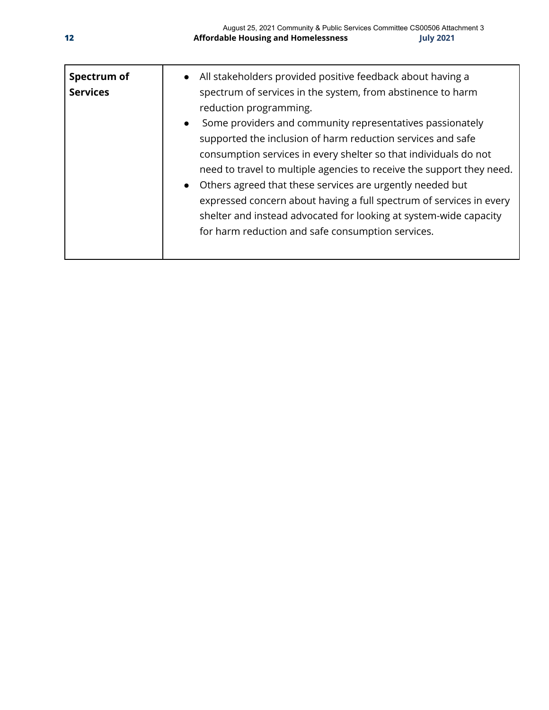| Spectrum of<br><b>Services</b> | All stakeholders provided positive feedback about having a<br>spectrum of services in the system, from abstinence to harm<br>reduction programming.<br>Some providers and community representatives passionately<br>$\bullet$<br>supported the inclusion of harm reduction services and safe<br>consumption services in every shelter so that individuals do not<br>need to travel to multiple agencies to receive the support they need.<br>Others agreed that these services are urgently needed but<br>expressed concern about having a full spectrum of services in every<br>shelter and instead advocated for looking at system-wide capacity<br>for harm reduction and safe consumption services. |
|--------------------------------|---------------------------------------------------------------------------------------------------------------------------------------------------------------------------------------------------------------------------------------------------------------------------------------------------------------------------------------------------------------------------------------------------------------------------------------------------------------------------------------------------------------------------------------------------------------------------------------------------------------------------------------------------------------------------------------------------------|
|--------------------------------|---------------------------------------------------------------------------------------------------------------------------------------------------------------------------------------------------------------------------------------------------------------------------------------------------------------------------------------------------------------------------------------------------------------------------------------------------------------------------------------------------------------------------------------------------------------------------------------------------------------------------------------------------------------------------------------------------------|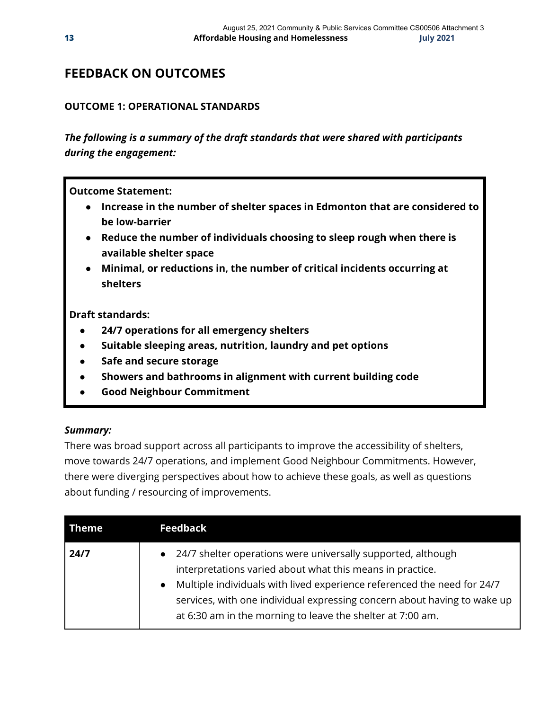### **FEEDBACK ON OUTCOMES**

#### **OUTCOME 1: OPERATIONAL STANDARDS**

*The following is a summary of the draft standards that were shared with participants during the engagement:*

**Outcome Statement:**

- **● Increase in the number of shelter spaces in Edmonton that are considered to be low-barrier**
- **● Reduce the number of individuals choosing to sleep rough when there is available shelter space**
- **● Minimal, or reductions in, the number of critical incidents occurring at shelters**

**Draft standards:**

- **24/7 operations for all emergency shelters**
- **Suitable sleeping areas, nutrition, laundry and pet options**
- **Safe and secure storage**
- **Showers and bathrooms in alignment with current building code**
- **Good Neighbour Commitment**

#### *Summary:*

There was broad support across all participants to improve the accessibility of shelters, move towards 24/7 operations, and implement Good Neighbour Commitments. However, there were diverging perspectives about how to achieve these goals, as well as questions about funding / resourcing of improvements.

| Theme |
|-------|
| 24/7  |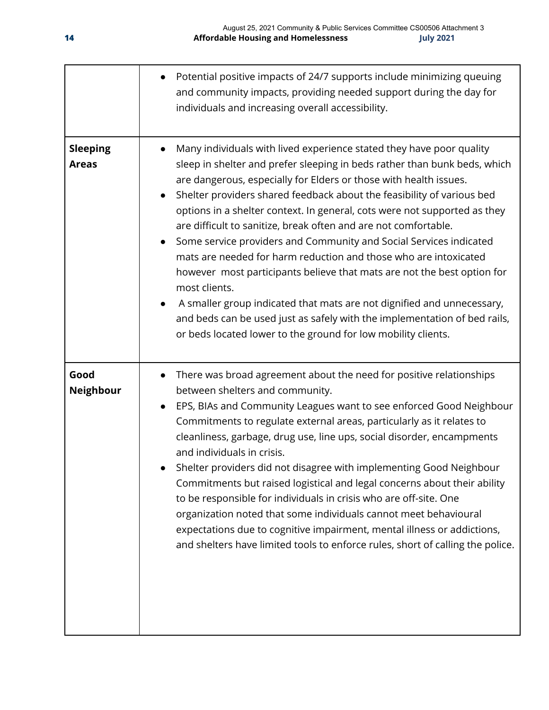|                                 | Potential positive impacts of 24/7 supports include minimizing queuing<br>and community impacts, providing needed support during the day for<br>individuals and increasing overall accessibility.                                                                                                                                                                                                                                                                                                                                                                                                                                                                                                                                                                                                                                                                                                              |
|---------------------------------|----------------------------------------------------------------------------------------------------------------------------------------------------------------------------------------------------------------------------------------------------------------------------------------------------------------------------------------------------------------------------------------------------------------------------------------------------------------------------------------------------------------------------------------------------------------------------------------------------------------------------------------------------------------------------------------------------------------------------------------------------------------------------------------------------------------------------------------------------------------------------------------------------------------|
| <b>Sleeping</b><br><b>Areas</b> | Many individuals with lived experience stated they have poor quality<br>sleep in shelter and prefer sleeping in beds rather than bunk beds, which<br>are dangerous, especially for Elders or those with health issues.<br>Shelter providers shared feedback about the feasibility of various bed<br>options in a shelter context. In general, cots were not supported as they<br>are difficult to sanitize, break often and are not comfortable.<br>Some service providers and Community and Social Services indicated<br>mats are needed for harm reduction and those who are intoxicated<br>however most participants believe that mats are not the best option for<br>most clients.<br>A smaller group indicated that mats are not dignified and unnecessary,<br>and beds can be used just as safely with the implementation of bed rails,<br>or beds located lower to the ground for low mobility clients. |
| Good<br>Neighbour               | There was broad agreement about the need for positive relationships<br>between shelters and community.<br>EPS, BIAs and Community Leagues want to see enforced Good Neighbour<br>Commitments to regulate external areas, particularly as it relates to<br>cleanliness, garbage, drug use, line ups, social disorder, encampments<br>and individuals in crisis.<br>Shelter providers did not disagree with implementing Good Neighbour<br>Commitments but raised logistical and legal concerns about their ability<br>to be responsible for individuals in crisis who are off-site. One<br>organization noted that some individuals cannot meet behavioural<br>expectations due to cognitive impairment, mental illness or addictions,<br>and shelters have limited tools to enforce rules, short of calling the police.                                                                                        |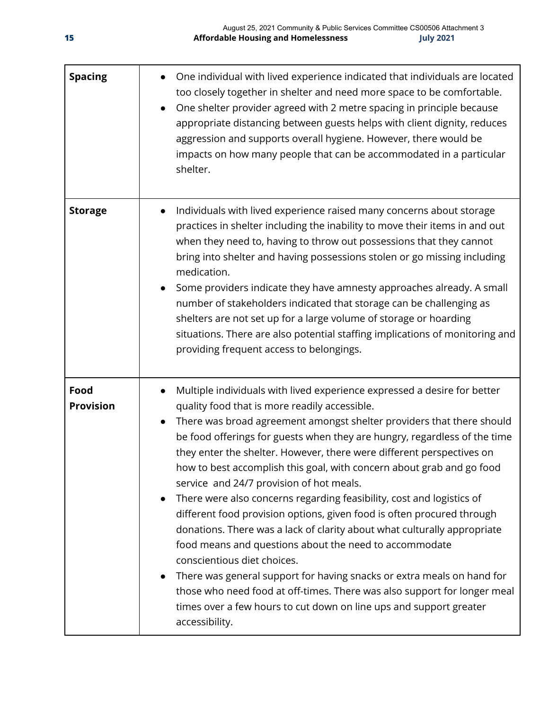| <b>Spacing</b>           | One individual with lived experience indicated that individuals are located<br>too closely together in shelter and need more space to be comfortable.<br>One shelter provider agreed with 2 metre spacing in principle because<br>appropriate distancing between guests helps with client dignity, reduces<br>aggression and supports overall hygiene. However, there would be<br>impacts on how many people that can be accommodated in a particular<br>shelter.                                                                                                                                                                                                                                                                                                                                                                                                                                                                                                                                                                                                |
|--------------------------|------------------------------------------------------------------------------------------------------------------------------------------------------------------------------------------------------------------------------------------------------------------------------------------------------------------------------------------------------------------------------------------------------------------------------------------------------------------------------------------------------------------------------------------------------------------------------------------------------------------------------------------------------------------------------------------------------------------------------------------------------------------------------------------------------------------------------------------------------------------------------------------------------------------------------------------------------------------------------------------------------------------------------------------------------------------|
| <b>Storage</b>           | Individuals with lived experience raised many concerns about storage<br>practices in shelter including the inability to move their items in and out<br>when they need to, having to throw out possessions that they cannot<br>bring into shelter and having possessions stolen or go missing including<br>medication.<br>Some providers indicate they have amnesty approaches already. A small<br>number of stakeholders indicated that storage can be challenging as<br>shelters are not set up for a large volume of storage or hoarding<br>situations. There are also potential staffing implications of monitoring and<br>providing frequent access to belongings.                                                                                                                                                                                                                                                                                                                                                                                           |
| Food<br><b>Provision</b> | Multiple individuals with lived experience expressed a desire for better<br>$\bullet$<br>quality food that is more readily accessible.<br>There was broad agreement amongst shelter providers that there should<br>be food offerings for guests when they are hungry, regardless of the time<br>they enter the shelter. However, there were different perspectives on<br>how to best accomplish this goal, with concern about grab and go food<br>service and 24/7 provision of hot meals.<br>There were also concerns regarding feasibility, cost and logistics of<br>different food provision options, given food is often procured through<br>donations. There was a lack of clarity about what culturally appropriate<br>food means and questions about the need to accommodate<br>conscientious diet choices.<br>There was general support for having snacks or extra meals on hand for<br>those who need food at off-times. There was also support for longer meal<br>times over a few hours to cut down on line ups and support greater<br>accessibility. |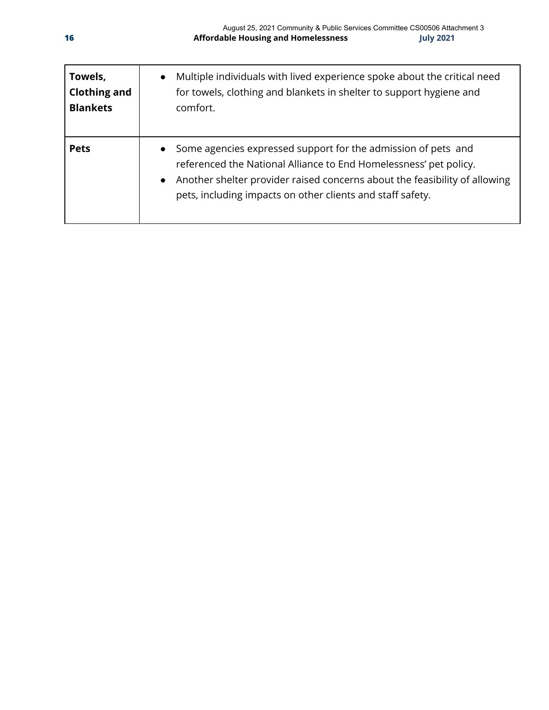| Towels,<br><b>Clothing and</b><br><b>Blankets</b> | Multiple individuals with lived experience spoke about the critical need<br>$\bullet$<br>for towels, clothing and blankets in shelter to support hygiene and<br>comfort.                                                                                                                                 |
|---------------------------------------------------|----------------------------------------------------------------------------------------------------------------------------------------------------------------------------------------------------------------------------------------------------------------------------------------------------------|
| <b>Pets</b>                                       | Some agencies expressed support for the admission of pets and<br>$\bullet$<br>referenced the National Alliance to End Homelessness' pet policy.<br>Another shelter provider raised concerns about the feasibility of allowing<br>$\bullet$<br>pets, including impacts on other clients and staff safety. |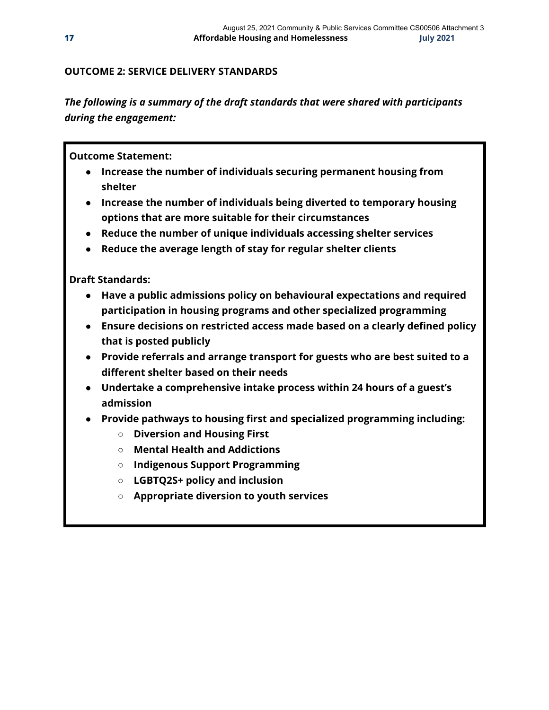#### **OUTCOME 2: SERVICE DELIVERY STANDARDS**

*The following is a summary of the draft standards that were shared with participants during the engagement:*

#### **Outcome Statement:**

- **● Increase the number of individuals securing permanent housing from shelter**
- **● Increase the number of individuals being diverted to temporary housing options that are more suitable for their circumstances**
- **● Reduce the number of unique individuals accessing shelter services**
- **● Reduce the average length of stay for regular shelter clients**

**Draft Standards:**

- **● Have a public admissions policy on behavioural expectations and required participation in housing programs and other specialized programming**
- **● Ensure decisions on restricted access made based on a clearly defined policy that is posted publicly**
- **● Provide referrals and arrange transport for guests who are best suited to a different shelter based on their needs**
- **● Undertake a comprehensive intake process within 24 hours of a guest's admission**
- **● Provide pathways to housing first and specialized programming including:**
	- **○ Diversion and Housing First**
	- **○ Mental Health and Addictions**
	- **○ Indigenous Support Programming**
	- **○ LGBTQ2S+ policy and inclusion**
	- **○ Appropriate diversion to youth services**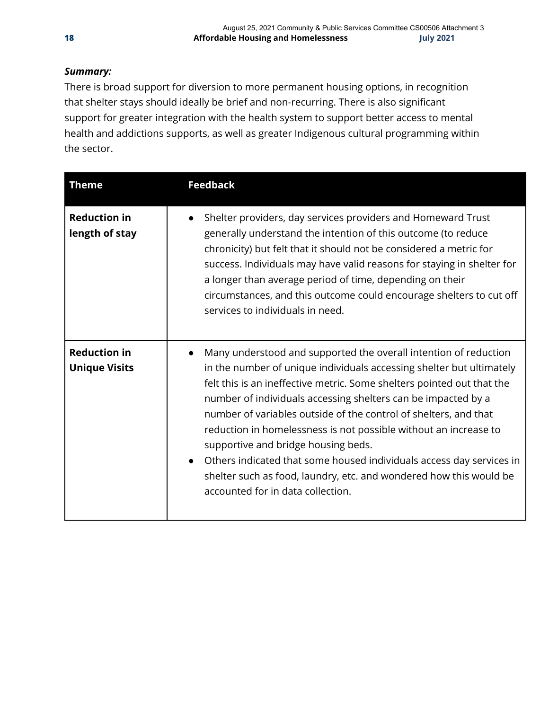### *Summary:*

There is broad support for diversion to more permanent housing options, in recognition that shelter stays should ideally be brief and non-recurring. There is also significant support for greater integration with the health system to support better access to mental health and addictions supports, as well as greater Indigenous cultural programming within the sector.

| <b>Theme</b>                                | <b>Feedback</b>                                                                                                                                                                                                                                                                                                                                                                                                                                                                                                                                                                                                                                                    |
|---------------------------------------------|--------------------------------------------------------------------------------------------------------------------------------------------------------------------------------------------------------------------------------------------------------------------------------------------------------------------------------------------------------------------------------------------------------------------------------------------------------------------------------------------------------------------------------------------------------------------------------------------------------------------------------------------------------------------|
| <b>Reduction in</b><br>length of stay       | Shelter providers, day services providers and Homeward Trust<br>$\bullet$<br>generally understand the intention of this outcome (to reduce<br>chronicity) but felt that it should not be considered a metric for<br>success. Individuals may have valid reasons for staying in shelter for<br>a longer than average period of time, depending on their<br>circumstances, and this outcome could encourage shelters to cut off<br>services to individuals in need.                                                                                                                                                                                                  |
| <b>Reduction in</b><br><b>Unique Visits</b> | Many understood and supported the overall intention of reduction<br>in the number of unique individuals accessing shelter but ultimately<br>felt this is an ineffective metric. Some shelters pointed out that the<br>number of individuals accessing shelters can be impacted by a<br>number of variables outside of the control of shelters, and that<br>reduction in homelessness is not possible without an increase to<br>supportive and bridge housing beds.<br>Others indicated that some housed individuals access day services in<br>$\bullet$<br>shelter such as food, laundry, etc. and wondered how this would be<br>accounted for in data collection. |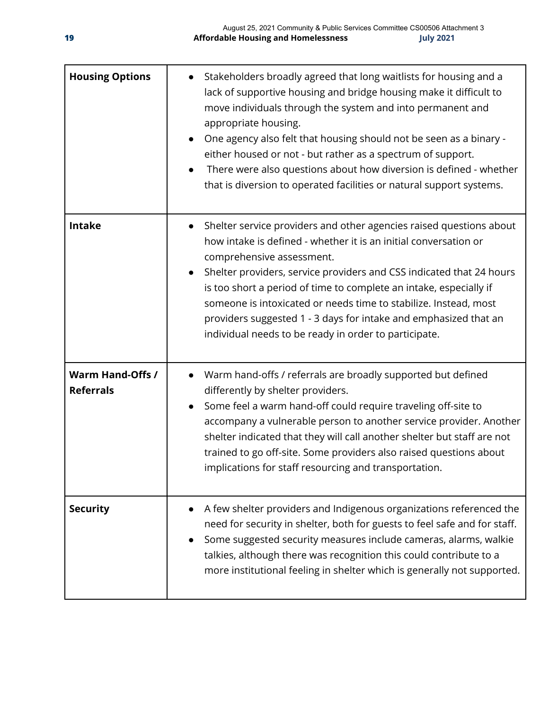| <b>Housing Options</b>                      | Stakeholders broadly agreed that long waitlists for housing and a<br>lack of supportive housing and bridge housing make it difficult to<br>move individuals through the system and into permanent and<br>appropriate housing.<br>One agency also felt that housing should not be seen as a binary -<br>$\bullet$<br>either housed or not - but rather as a spectrum of support.<br>There were also questions about how diversion is defined - whether<br>$\bullet$<br>that is diversion to operated facilities or natural support systems. |
|---------------------------------------------|--------------------------------------------------------------------------------------------------------------------------------------------------------------------------------------------------------------------------------------------------------------------------------------------------------------------------------------------------------------------------------------------------------------------------------------------------------------------------------------------------------------------------------------------|
| <b>Intake</b>                               | Shelter service providers and other agencies raised questions about<br>how intake is defined - whether it is an initial conversation or<br>comprehensive assessment.<br>Shelter providers, service providers and CSS indicated that 24 hours<br>$\bullet$<br>is too short a period of time to complete an intake, especially if<br>someone is intoxicated or needs time to stabilize. Instead, most<br>providers suggested 1 - 3 days for intake and emphasized that an<br>individual needs to be ready in order to participate.           |
| <b>Warm Hand-Offs /</b><br><b>Referrals</b> | Warm hand-offs / referrals are broadly supported but defined<br>differently by shelter providers.<br>Some feel a warm hand-off could require traveling off-site to<br>$\bullet$<br>accompany a vulnerable person to another service provider. Another<br>shelter indicated that they will call another shelter but staff are not<br>trained to go off-site. Some providers also raised questions about<br>implications for staff resourcing and transportation.                                                                            |
| <b>Security</b>                             | A few shelter providers and Indigenous organizations referenced the<br>need for security in shelter, both for guests to feel safe and for staff.<br>Some suggested security measures include cameras, alarms, walkie<br>talkies, although there was recognition this could contribute to a<br>more institutional feeling in shelter which is generally not supported.                                                                                                                                                                      |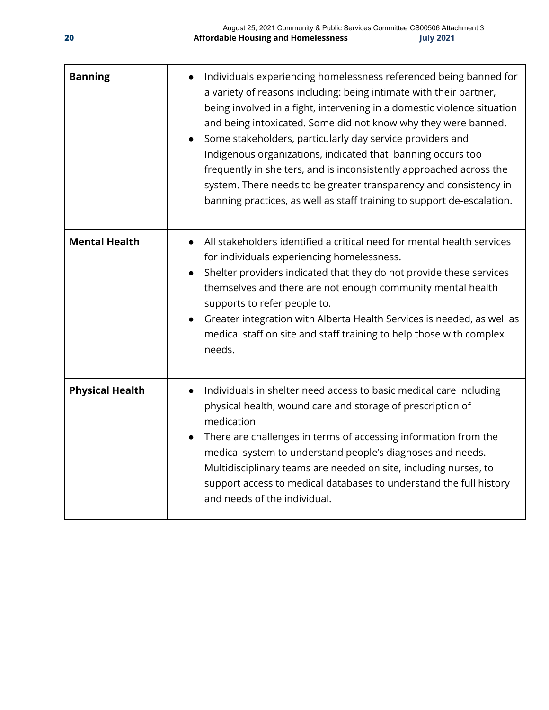| <b>Banning</b>         | Individuals experiencing homelessness referenced being banned for<br>a variety of reasons including: being intimate with their partner,<br>being involved in a fight, intervening in a domestic violence situation<br>and being intoxicated. Some did not know why they were banned.<br>Some stakeholders, particularly day service providers and<br>Indigenous organizations, indicated that banning occurs too<br>frequently in shelters, and is inconsistently approached across the<br>system. There needs to be greater transparency and consistency in<br>banning practices, as well as staff training to support de-escalation. |
|------------------------|----------------------------------------------------------------------------------------------------------------------------------------------------------------------------------------------------------------------------------------------------------------------------------------------------------------------------------------------------------------------------------------------------------------------------------------------------------------------------------------------------------------------------------------------------------------------------------------------------------------------------------------|
| <b>Mental Health</b>   | All stakeholders identified a critical need for mental health services<br>for individuals experiencing homelessness.<br>Shelter providers indicated that they do not provide these services<br>themselves and there are not enough community mental health<br>supports to refer people to.<br>Greater integration with Alberta Health Services is needed, as well as<br>medical staff on site and staff training to help those with complex<br>needs.                                                                                                                                                                                  |
| <b>Physical Health</b> | Individuals in shelter need access to basic medical care including<br>$\bullet$<br>physical health, wound care and storage of prescription of<br>medication<br>There are challenges in terms of accessing information from the<br>$\bullet$<br>medical system to understand people's diagnoses and needs.<br>Multidisciplinary teams are needed on site, including nurses, to<br>support access to medical databases to understand the full history<br>and needs of the individual.                                                                                                                                                    |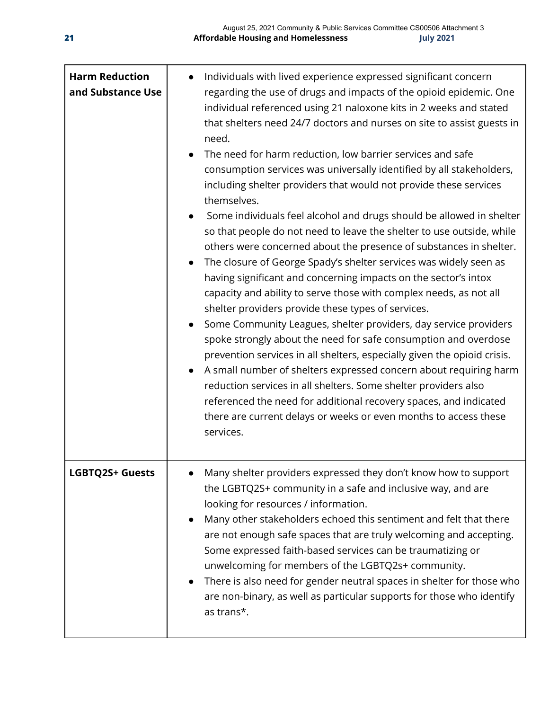| <b>Harm Reduction</b><br>and Substance Use | Individuals with lived experience expressed significant concern<br>regarding the use of drugs and impacts of the opioid epidemic. One<br>individual referenced using 21 naloxone kits in 2 weeks and stated<br>that shelters need 24/7 doctors and nurses on site to assist guests in<br>need.<br>The need for harm reduction, low barrier services and safe<br>$\bullet$<br>consumption services was universally identified by all stakeholders,<br>including shelter providers that would not provide these services<br>themselves.<br>Some individuals feel alcohol and drugs should be allowed in shelter<br>so that people do not need to leave the shelter to use outside, while<br>others were concerned about the presence of substances in shelter.<br>The closure of George Spady's shelter services was widely seen as<br>$\bullet$<br>having significant and concerning impacts on the sector's intox<br>capacity and ability to serve those with complex needs, as not all<br>shelter providers provide these types of services.<br>Some Community Leagues, shelter providers, day service providers<br>spoke strongly about the need for safe consumption and overdose<br>prevention services in all shelters, especially given the opioid crisis.<br>A small number of shelters expressed concern about requiring harm<br>reduction services in all shelters. Some shelter providers also<br>referenced the need for additional recovery spaces, and indicated<br>there are current delays or weeks or even months to access these<br>services. |
|--------------------------------------------|----------------------------------------------------------------------------------------------------------------------------------------------------------------------------------------------------------------------------------------------------------------------------------------------------------------------------------------------------------------------------------------------------------------------------------------------------------------------------------------------------------------------------------------------------------------------------------------------------------------------------------------------------------------------------------------------------------------------------------------------------------------------------------------------------------------------------------------------------------------------------------------------------------------------------------------------------------------------------------------------------------------------------------------------------------------------------------------------------------------------------------------------------------------------------------------------------------------------------------------------------------------------------------------------------------------------------------------------------------------------------------------------------------------------------------------------------------------------------------------------------------------------------------------------------------------|
| <b>LGBTQ2S+ Guests</b>                     | Many shelter providers expressed they don't know how to support<br>the LGBTQ2S+ community in a safe and inclusive way, and are<br>looking for resources / information.<br>Many other stakeholders echoed this sentiment and felt that there<br>$\bullet$<br>are not enough safe spaces that are truly welcoming and accepting.<br>Some expressed faith-based services can be traumatizing or<br>unwelcoming for members of the LGBTQ2s+ community.<br>There is also need for gender neutral spaces in shelter for those who<br>$\bullet$<br>are non-binary, as well as particular supports for those who identify<br>as trans*.                                                                                                                                                                                                                                                                                                                                                                                                                                                                                                                                                                                                                                                                                                                                                                                                                                                                                                                                |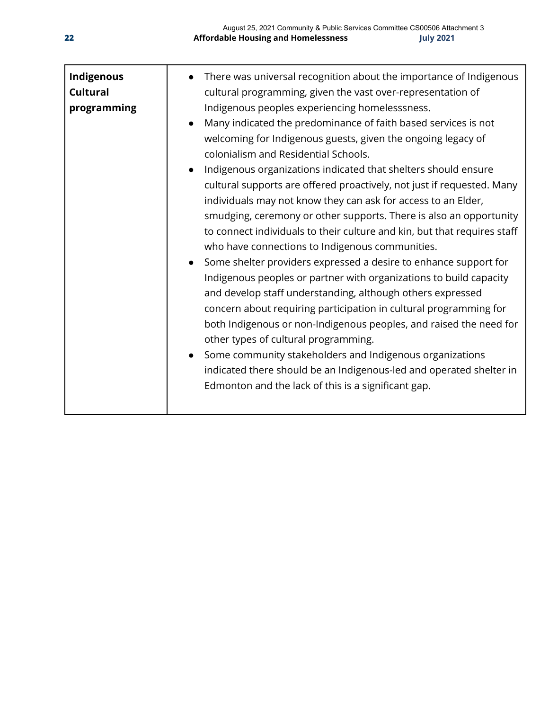| Indigenous<br><b>Cultural</b><br>programming | There was universal recognition about the importance of Indigenous<br>cultural programming, given the vast over-representation of<br>Indigenous peoples experiencing homelesssness.<br>Many indicated the predominance of faith based services is not<br>$\bullet$<br>welcoming for Indigenous guests, given the ongoing legacy of<br>colonialism and Residential Schools.<br>Indigenous organizations indicated that shelters should ensure<br>$\bullet$<br>cultural supports are offered proactively, not just if requested. Many<br>individuals may not know they can ask for access to an Elder,<br>smudging, ceremony or other supports. There is also an opportunity<br>to connect individuals to their culture and kin, but that requires staff<br>who have connections to Indigenous communities.<br>Some shelter providers expressed a desire to enhance support for<br>$\bullet$<br>Indigenous peoples or partner with organizations to build capacity<br>and develop staff understanding, although others expressed<br>concern about requiring participation in cultural programming for<br>both Indigenous or non-Indigenous peoples, and raised the need for<br>other types of cultural programming.<br>Some community stakeholders and Indigenous organizations<br>indicated there should be an Indigenous-led and operated shelter in |
|----------------------------------------------|------------------------------------------------------------------------------------------------------------------------------------------------------------------------------------------------------------------------------------------------------------------------------------------------------------------------------------------------------------------------------------------------------------------------------------------------------------------------------------------------------------------------------------------------------------------------------------------------------------------------------------------------------------------------------------------------------------------------------------------------------------------------------------------------------------------------------------------------------------------------------------------------------------------------------------------------------------------------------------------------------------------------------------------------------------------------------------------------------------------------------------------------------------------------------------------------------------------------------------------------------------------------------------------------------------------------------------------------------|
|                                              | Edmonton and the lack of this is a significant gap.                                                                                                                                                                                                                                                                                                                                                                                                                                                                                                                                                                                                                                                                                                                                                                                                                                                                                                                                                                                                                                                                                                                                                                                                                                                                                                  |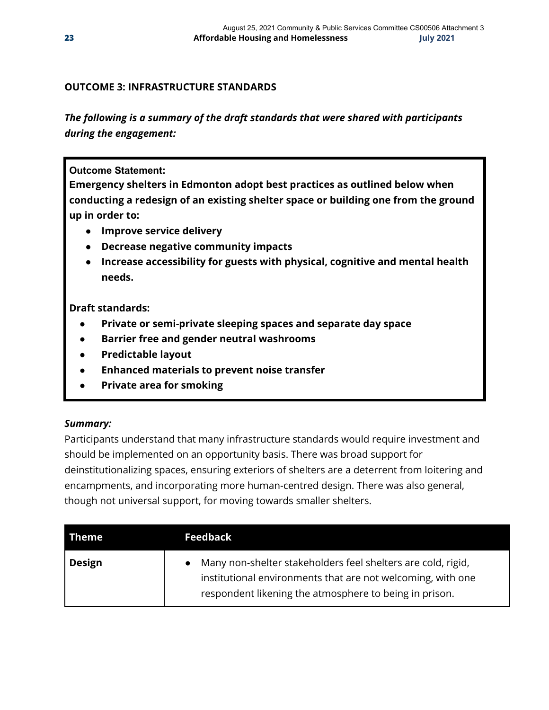#### **OUTCOME 3: INFRASTRUCTURE STANDARDS**

*The following is a summary of the draft standards that were shared with participants during the engagement:*

#### **Outcome Statement:**

**Emergency shelters in Edmonton adopt best practices as outlined below when conducting a redesign of an existing shelter space or building one from the ground up in order to:**

- **● Improve service delivery**
- **● Decrease negative community impacts**
- **● Increase accessibility for guests with physical, cognitive and mental health needs.**

#### **Draft standards:**

- **Private or semi-private sleeping spaces and separate day space**
- **Barrier free and gender neutral washrooms**
- **Predictable layout**
- **Enhanced materials to prevent noise transfer**
- **Private area for smoking**

#### *Summary:*

Participants understand that many infrastructure standards would require investment and should be implemented on an opportunity basis. There was broad support for deinstitutionalizing spaces, ensuring exteriors of shelters are a deterrent from loitering and encampments, and incorporating more human-centred design. There was also general, though not universal support, for moving towards smaller shelters.

| Theme         | <b>Feedback</b>                                                                                                                                                                       |
|---------------|---------------------------------------------------------------------------------------------------------------------------------------------------------------------------------------|
| <b>Design</b> | Many non-shelter stakeholders feel shelters are cold, rigid,<br>institutional environments that are not welcoming, with one<br>respondent likening the atmosphere to being in prison. |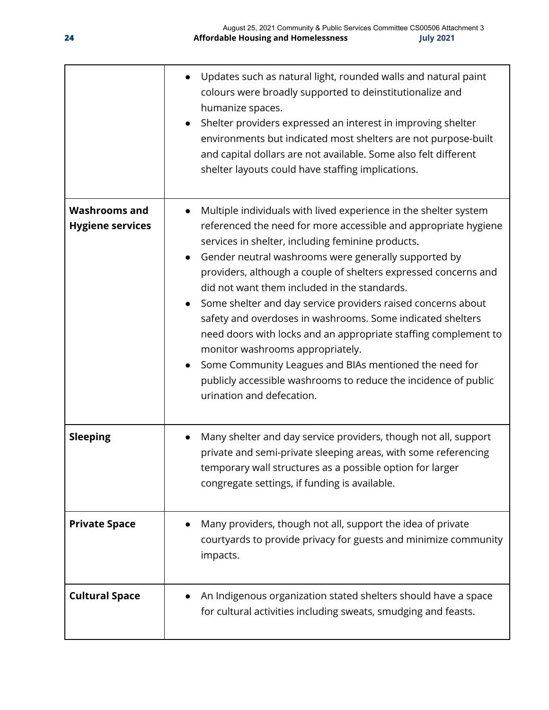|                                                 | Updates such as natural light, rounded walls and natural paint<br>colours were broadly supported to deinstitutionalize and<br>humanize spaces.<br>Shelter providers expressed an interest in improving shelter<br>$\bullet$<br>environments but indicated most shelters are not purpose-built<br>and capital dollars are not available. Some also felt different<br>shelter layouts could have staffing implications.                                                                                                                                                                                                                                                                                                                                                           |
|-------------------------------------------------|---------------------------------------------------------------------------------------------------------------------------------------------------------------------------------------------------------------------------------------------------------------------------------------------------------------------------------------------------------------------------------------------------------------------------------------------------------------------------------------------------------------------------------------------------------------------------------------------------------------------------------------------------------------------------------------------------------------------------------------------------------------------------------|
| <b>Washrooms and</b><br><b>Hygiene services</b> | Multiple individuals with lived experience in the shelter system<br>referenced the need for more accessible and appropriate hygiene<br>services in shelter, including feminine products.<br>Gender neutral washrooms were generally supported by<br>providers, although a couple of shelters expressed concerns and<br>did not want them included in the standards.<br>Some shelter and day service providers raised concerns about<br>safety and overdoses in washrooms. Some indicated shelters<br>need doors with locks and an appropriate staffing complement to<br>monitor washrooms appropriately.<br>Some Community Leagues and BIAs mentioned the need for<br>$\bullet$<br>publicly accessible washrooms to reduce the incidence of public<br>urination and defecation. |
| <b>Sleeping</b>                                 | Many shelter and day service providers, though not all, support<br>private and semi-private sleeping areas, with some referencing<br>temporary wall structures as a possible option for larger<br>congregate settings, if funding is available.                                                                                                                                                                                                                                                                                                                                                                                                                                                                                                                                 |
| <b>Private Space</b>                            | Many providers, though not all, support the idea of private<br>courtyards to provide privacy for guests and minimize community<br>impacts.                                                                                                                                                                                                                                                                                                                                                                                                                                                                                                                                                                                                                                      |
| <b>Cultural Space</b>                           | An Indigenous organization stated shelters should have a space<br>for cultural activities including sweats, smudging and feasts.                                                                                                                                                                                                                                                                                                                                                                                                                                                                                                                                                                                                                                                |